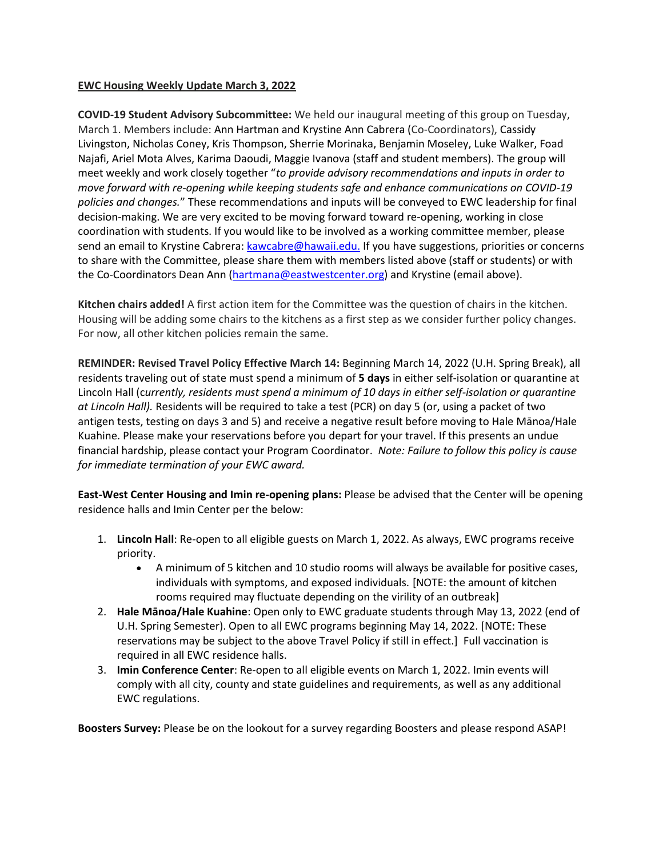### **EWC Housing Weekly Update March 3, 2022**

**COVID-19 Student Advisory Subcommittee:** We held our inaugural meeting of this group on Tuesday, March 1. Members include: Ann Hartman and Krystine Ann Cabrera (Co-Coordinators), Cassidy Livingston, Nicholas Coney, Kris Thompson, Sherrie Morinaka, Benjamin Moseley, Luke Walker, Foad Najafi, Ariel Mota Alves, Karima Daoudi, Maggie Ivanova (staff and student members). The group will meet weekly and work closely together "*to provide advisory recommendations and inputs in order to move forward with re-opening while keeping students safe and enhance communications on COVID-19 policies and changes.*" These recommendations and inputs will be conveyed to EWC leadership for final decision-making. We are very excited to be moving forward toward re-opening, working in close coordination with students. If you would like to be involved as a working committee member, please send an email to Krystine Cabrera: [kawcabre@hawaii.edu.](mailto:kawcabre@hawaii.edu) If you have suggestions, priorities or concerns to share with the Committee, please share them with members listed above (staff or students) or with the Co-Coordinators Dean Ann [\(hartmana@eastwestcenter.org\)](mailto:hartmana@eastwestcenter.org) and Krystine (email above).

**Kitchen chairs added!** A first action item for the Committee was the question of chairs in the kitchen. Housing will be adding some chairs to the kitchens as a first step as we consider further policy changes. For now, all other kitchen policies remain the same.

**REMINDER: Revised Travel Policy Effective March 14:** Beginning March 14, 2022 (U.H. Spring Break), all residents traveling out of state must spend a minimum of **5 days** in either self-isolation or quarantine at Lincoln Hall (c*urrently, residents must spend a minimum of 10 days in either self-isolation or quarantine at Lincoln Hall).* Residents will be required to take a test (PCR) on day 5 (or, using a packet of two antigen tests, testing on days 3 and 5) and receive a negative result before moving to Hale Mānoa/Hale Kuahine. Please make your reservations before you depart for your travel. If this presents an undue financial hardship, please contact your Program Coordinator. *Note: Failure to follow this policy is cause for immediate termination of your EWC award.*

**East-West Center Housing and Imin re-opening plans:** Please be advised that the Center will be opening residence halls and Imin Center per the below:

- 1. **Lincoln Hall**: Re-open to all eligible guests on March 1, 2022. As always, EWC programs receive priority.
	- A minimum of 5 kitchen and 10 studio rooms will always be available for positive cases, individuals with symptoms, and exposed individuals. [NOTE: the amount of kitchen rooms required may fluctuate depending on the virility of an outbreak]
- 2. **Hale Mānoa/Hale Kuahine**: Open only to EWC graduate students through May 13, 2022 (end of U.H. Spring Semester). Open to all EWC programs beginning May 14, 2022. [NOTE: These reservations may be subject to the above Travel Policy if still in effect.] Full vaccination is required in all EWC residence halls.
- 3. **Imin Conference Center**: Re-open to all eligible events on March 1, 2022. Imin events will comply with all city, county and state guidelines and requirements, as well as any additional EWC regulations.

**Boosters Survey:** Please be on the lookout for a survey regarding Boosters and please respond ASAP!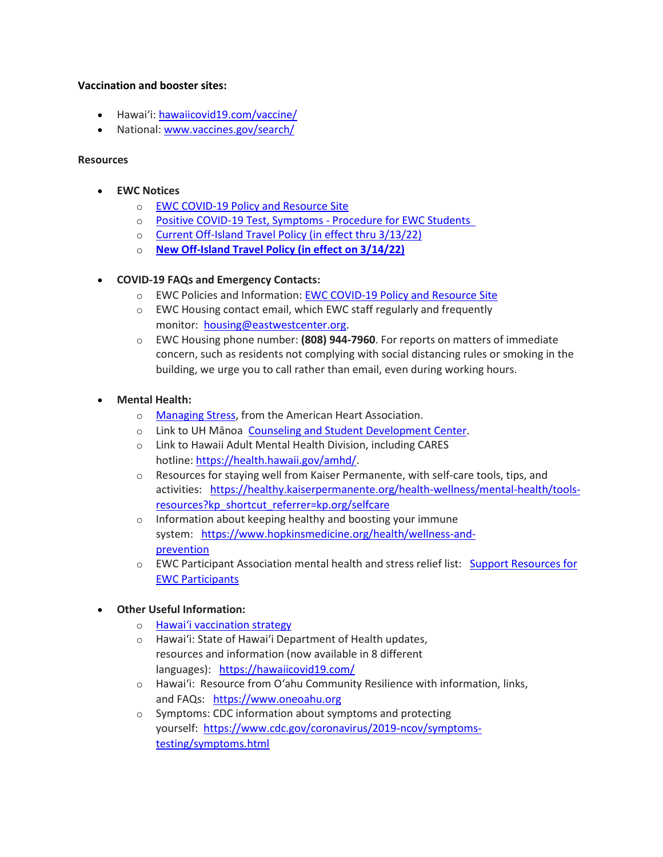### **Vaccination and booster sites:**

- Hawaiʻi: [hawaiicovid19.com/vaccine/](https://hawaiicovid19.com/vaccine/)
- National[: www.vaccines.gov/search/](https://urldefense.proofpoint.com/v2/url?u=https-3A__www.vaccines.gov_search_&d=DwMFaQ&c=euGZstcaTDllvimEN8b7jXrwqOf-v5A_CdpgnVfiiMM&r=sjCoHaVUe8_a1MXsziR411ri4sB3BX3q50L3el6sXMQ&m=3Lyz5AUVXqPkeDvLe_oDF2qJ1SROcgmnbyfrUnS6UvQ&s=jNKWrlu41PCvRI9OKwA65IqxpfK4n88NOhskXt8VtQs&e=)

#### **Resources**

- **EWC Notices**
	- o [EWC COVID-19 Policy and Resource Site](https://urldefense.proofpoint.com/v2/url?u=https-3A__ewcparticipantinfo.org_covid-2D19_&d=DwMFaQ&c=euGZstcaTDllvimEN8b7jXrwqOf-v5A_CdpgnVfiiMM&r=3FPQcXK5sxYRrGCCxQc5PNSb-_SuaL_bSgfyHLgu3XI&m=NeEuRGBZcB6XdPpyhoUn4swvNjBnveDWGZ1brp8cIwI&s=psWXjZhChjGDJkHaOVt2bwTJxxk1NVhXgu70sXTpbpE&e=)
	- o Positive COVID-19 [Test, Symptoms](https://urldefense.proofpoint.com/v2/url?u=https-3A__ewcparticipantinfo.org_wp-2Dcontent_uploads_2021_11_Positive-2DTest-2DSymptoms-2DProcedure-2Dfor-2DStudents.pdf&d=DwMFaQ&c=euGZstcaTDllvimEN8b7jXrwqOf-v5A_CdpgnVfiiMM&r=sjCoHaVUe8_a1MXsziR411ri4sB3BX3q50L3el6sXMQ&m=3Lyz5AUVXqPkeDvLe_oDF2qJ1SROcgmnbyfrUnS6UvQ&s=Fr8hlKDDg0kKpndAlP_CPveqINEA21kcrDgtr4YGvqE&e=) Procedure for EWC Students
	- o [Current Off-Island Travel Policy \(in effect thru 3/13/22\)](https://urldefense.proofpoint.com/v2/url?u=https-3A__ewcparticipantinfo.org_wp-2Dcontent_uploads_2021_11_Travel-2DPolicy-2Dfor-2DStudents-2DUpdated11-2D3-2D21.pdf&d=DwMFaQ&c=euGZstcaTDllvimEN8b7jXrwqOf-v5A_CdpgnVfiiMM&r=sjCoHaVUe8_a1MXsziR411ri4sB3BX3q50L3el6sXMQ&m=3Lyz5AUVXqPkeDvLe_oDF2qJ1SROcgmnbyfrUnS6UvQ&s=cs4SUYUR-HRlsChPCzrQ-wIdvJ-9CXFS3ldbZNv0W8Q&e=)
	- o **[New Off-Island Travel Policy \(in effect on 3/14/22\)](https://urldefense.proofpoint.com/v2/url?u=https-3A__ewcparticipantinfo.org_wp-2Dcontent_uploads_2022_02_Travel-2DPolicy-2DUpdated-2D3.14.22.pdf&d=DwMFaQ&c=euGZstcaTDllvimEN8b7jXrwqOf-v5A_CdpgnVfiiMM&r=sjCoHaVUe8_a1MXsziR411ri4sB3BX3q50L3el6sXMQ&m=3Lyz5AUVXqPkeDvLe_oDF2qJ1SROcgmnbyfrUnS6UvQ&s=hBJuVV6gyHkMlw1UjRzvQ191rT1uyhj2FfHfoqJzzRw&e=)**

## • **COVID-19 FAQs and Emergency Contacts:**

- o EWC Policies and Information: [EWC COVID-19 Policy and Resource Site](https://urldefense.proofpoint.com/v2/url?u=https-3A__ewcparticipantinfo.org_covid-2D19_&d=DwMFaQ&c=euGZstcaTDllvimEN8b7jXrwqOf-v5A_CdpgnVfiiMM&r=3FPQcXK5sxYRrGCCxQc5PNSb-_SuaL_bSgfyHLgu3XI&m=NeEuRGBZcB6XdPpyhoUn4swvNjBnveDWGZ1brp8cIwI&s=psWXjZhChjGDJkHaOVt2bwTJxxk1NVhXgu70sXTpbpE&e=)
- o EWC Housing contact email, which EWC staff regularly and frequently monitor: [housing@eastwestcenter.org.](mailto:housing@eastwestcenter.org)
- o EWC Housing phone number: **(808) 944-7960**. For reports on matters of immediate concern, such as residents not complying with social distancing rules or smoking in the building, we urge you to call rather than email, even during working hours.

## • **Mental Health:**

- o [Managing Stress,](https://urldefense.proofpoint.com/v2/url?u=https-3A__www.heart.org_en_healthy-2Dliving_healthy-2Dlifestyle_stress-2Dmanagement_3-2Dtips-2Dto-2Dmanage-2Dstress&d=DwMFaQ&c=euGZstcaTDllvimEN8b7jXrwqOf-v5A_CdpgnVfiiMM&r=3FPQcXK5sxYRrGCCxQc5PNSb-_SuaL_bSgfyHLgu3XI&m=DFa_g2AmhabelwvrqHcTxuYqCMz5HzQYOl-ITmKQUfY&s=brkk3h1YsapP-lIVcxt7MNYAlm4bQtz7YKIJGofeUkY&e=) from the American Heart Association.
- o Link to UH Mānoa [Counseling and Student Development Center.](https://urldefense.proofpoint.com/v2/url?u=http-3A__www.manoa.hawaii.edu_counseling&d=DwMFaQ&c=euGZstcaTDllvimEN8b7jXrwqOf-v5A_CdpgnVfiiMM&r=3FPQcXK5sxYRrGCCxQc5PNSb-_SuaL_bSgfyHLgu3XI&m=am0JUX--VmENU0jPP_iW6ma-yLR9-vpVCXYuYLP_pnQ&s=KLUr2I-87m8x7gT-LRZ1FsUmDxTlS04cGYG1bEY4eOo&e=)
- o Link to Hawaii Adult Mental Health Division, including CARES hotline: [https://health.hawaii.gov/amhd/.](https://urldefense.proofpoint.com/v2/url?u=https-3A__health.hawaii.gov_amhd_&d=DwMFaQ&c=euGZstcaTDllvimEN8b7jXrwqOf-v5A_CdpgnVfiiMM&r=3FPQcXK5sxYRrGCCxQc5PNSb-_SuaL_bSgfyHLgu3XI&m=am0JUX--VmENU0jPP_iW6ma-yLR9-vpVCXYuYLP_pnQ&s=jGly2XqRyYGfSfcDeFQPHXOriK3LXX4ijFkZpV1I3l0&e=)
- o Resources for staying well from Kaiser Permanente, with self-care tools, tips, and activities: [https://healthy.kaiserpermanente.org/health-wellness/mental-health/tools](https://urldefense.proofpoint.com/v2/url?u=https-3A__healthy.kaiserpermanente.org_health-2Dwellness_mental-2Dhealth_tools-2Dresources-3Fkp-5Fshortcut-5Freferrer-3Dkp.org_selfcare&d=DwMFaQ&c=euGZstcaTDllvimEN8b7jXrwqOf-v5A_CdpgnVfiiMM&r=3FPQcXK5sxYRrGCCxQc5PNSb-_SuaL_bSgfyHLgu3XI&m=Rbwxxn-uK8FQYTkEAvPhMEKvL03Z3qaRx6Mfv78EfmQ&s=WgR2DHjakUKCqJM0vJM8s8S_NAf2yZItFCWP7XTUlcc&e=)[resources?kp\\_shortcut\\_referrer=kp.org/selfcare](https://urldefense.proofpoint.com/v2/url?u=https-3A__healthy.kaiserpermanente.org_health-2Dwellness_mental-2Dhealth_tools-2Dresources-3Fkp-5Fshortcut-5Freferrer-3Dkp.org_selfcare&d=DwMFaQ&c=euGZstcaTDllvimEN8b7jXrwqOf-v5A_CdpgnVfiiMM&r=3FPQcXK5sxYRrGCCxQc5PNSb-_SuaL_bSgfyHLgu3XI&m=Rbwxxn-uK8FQYTkEAvPhMEKvL03Z3qaRx6Mfv78EfmQ&s=WgR2DHjakUKCqJM0vJM8s8S_NAf2yZItFCWP7XTUlcc&e=)
- o Information about keeping healthy and boosting your immune system: [https://www.hopkinsmedicine.org/health/wellness-and](https://urldefense.proofpoint.com/v2/url?u=https-3A__www.hopkinsmedicine.org_health_wellness-2Dand-2Dprevention&d=DwMFaQ&c=euGZstcaTDllvimEN8b7jXrwqOf-v5A_CdpgnVfiiMM&r=fzUXRvrK_egS-3t73UD_VQPWmsmmjR5g7liOveFRwTw&m=xQ1KMiKCgTEeIFLcoiItEyinYylVRMHzLz16Rh2E7OE&s=MLYw596o8ko-W_NETjId73A6wPdC94HCfkzyO-_cxq0&e=)[prevention](https://urldefense.proofpoint.com/v2/url?u=https-3A__www.hopkinsmedicine.org_health_wellness-2Dand-2Dprevention&d=DwMFaQ&c=euGZstcaTDllvimEN8b7jXrwqOf-v5A_CdpgnVfiiMM&r=fzUXRvrK_egS-3t73UD_VQPWmsmmjR5g7liOveFRwTw&m=xQ1KMiKCgTEeIFLcoiItEyinYylVRMHzLz16Rh2E7OE&s=MLYw596o8ko-W_NETjId73A6wPdC94HCfkzyO-_cxq0&e=)
- o EWC Participant Association mental health and stress relief list: [Support Resources for](https://urldefense.proofpoint.com/v2/url?u=https-3A__content.getrave.com_content_5958154_b0e6c8eb-2D04ae-2D4fda-2D8b24-2Dc52d32318225_8d91da0e-2Db462-2D4c5b-2D815f-2D570227036179_Support-5FResources-5Ffor-5FEWC-5FStudents.pdf&d=DwMFaQ&c=euGZstcaTDllvimEN8b7jXrwqOf-v5A_CdpgnVfiiMM&r=fzUXRvrK_egS-3t73UD_VQPWmsmmjR5g7liOveFRwTw&m=xQ1KMiKCgTEeIFLcoiItEyinYylVRMHzLz16Rh2E7OE&s=OP6EvOWHfV2zxF3nz8Y8WTudS4Rae1oYrLMe7eHjJW8&e=)  [EWC Participants](https://urldefense.proofpoint.com/v2/url?u=https-3A__content.getrave.com_content_5958154_b0e6c8eb-2D04ae-2D4fda-2D8b24-2Dc52d32318225_8d91da0e-2Db462-2D4c5b-2D815f-2D570227036179_Support-5FResources-5Ffor-5FEWC-5FStudents.pdf&d=DwMFaQ&c=euGZstcaTDllvimEN8b7jXrwqOf-v5A_CdpgnVfiiMM&r=fzUXRvrK_egS-3t73UD_VQPWmsmmjR5g7liOveFRwTw&m=xQ1KMiKCgTEeIFLcoiItEyinYylVRMHzLz16Rh2E7OE&s=OP6EvOWHfV2zxF3nz8Y8WTudS4Rae1oYrLMe7eHjJW8&e=)

### • **Other Useful Information:**

- o [Hawai'i vaccination strategy](https://hawaiicovid19.com/vaccine/)
- o Hawai'i: State of Hawai'i Department of Health updates, resources and information (now available in 8 different languages): <https://hawaiicovid19.com/>
- o Hawai'i: Resource from O'ahu Community Resilience with information, links, and FAQs: [https://www.oneoahu.org](https://urldefense.proofpoint.com/v2/url?u=https-3A__www.oneoahu.org_&d=DwMFaQ&c=euGZstcaTDllvimEN8b7jXrwqOf-v5A_CdpgnVfiiMM&r=fzUXRvrK_egS-3t73UD_VQPWmsmmjR5g7liOveFRwTw&m=xQ1KMiKCgTEeIFLcoiItEyinYylVRMHzLz16Rh2E7OE&s=T6IoRkRV8HpPdel_k38DhTXFaVG9LYf9VcD38Q3iWxc&e=)
- o Symptoms: CDC information about symptoms and protecting yourself: [https://www.cdc.gov/coronavirus/2019-ncov/symptoms](https://urldefense.proofpoint.com/v2/url?u=https-3A__www.cdc.gov_coronavirus_2019-2Dncov_symptoms-2Dtesting_symptoms.html&d=DwMFaQ&c=euGZstcaTDllvimEN8b7jXrwqOf-v5A_CdpgnVfiiMM&r=3FPQcXK5sxYRrGCCxQc5PNSb-_SuaL_bSgfyHLgu3XI&m=-eCMHMhigliPodXSutnQyjSFavsattim8hAi4RX8Eh8&s=EHYLY0vaXoZbmSWaK_nvKPnTqhqBROqfIbhBe3WiSDs&e=)[testing/symptoms.html](https://urldefense.proofpoint.com/v2/url?u=https-3A__www.cdc.gov_coronavirus_2019-2Dncov_symptoms-2Dtesting_symptoms.html&d=DwMFaQ&c=euGZstcaTDllvimEN8b7jXrwqOf-v5A_CdpgnVfiiMM&r=3FPQcXK5sxYRrGCCxQc5PNSb-_SuaL_bSgfyHLgu3XI&m=-eCMHMhigliPodXSutnQyjSFavsattim8hAi4RX8Eh8&s=EHYLY0vaXoZbmSWaK_nvKPnTqhqBROqfIbhBe3WiSDs&e=)